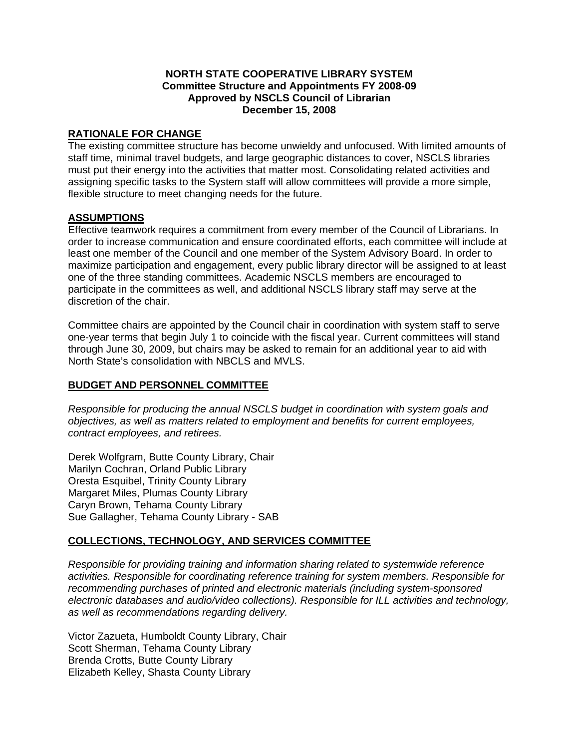### **NORTH STATE COOPERATIVE LIBRARY SYSTEM Committee Structure and Appointments FY 2008-09 Approved by NSCLS Council of Librarian December 15, 2008**

### **RATIONALE FOR CHANGE**

The existing committee structure has become unwieldy and unfocused. With limited amounts of staff time, minimal travel budgets, and large geographic distances to cover, NSCLS libraries must put their energy into the activities that matter most. Consolidating related activities and assigning specific tasks to the System staff will allow committees will provide a more simple, flexible structure to meet changing needs for the future.

### **ASSUMPTIONS**

Effective teamwork requires a commitment from every member of the Council of Librarians. In order to increase communication and ensure coordinated efforts, each committee will include at least one member of the Council and one member of the System Advisory Board. In order to maximize participation and engagement, every public library director will be assigned to at least one of the three standing committees. Academic NSCLS members are encouraged to participate in the committees as well, and additional NSCLS library staff may serve at the discretion of the chair.

Committee chairs are appointed by the Council chair in coordination with system staff to serve one-year terms that begin July 1 to coincide with the fiscal year. Current committees will stand through June 30, 2009, but chairs may be asked to remain for an additional year to aid with North State's consolidation with NBCLS and MVLS.

# **BUDGET AND PERSONNEL COMMITTEE**

*Responsible for producing the annual NSCLS budget in coordination with system goals and objectives, as well as matters related to employment and benefits for current employees, contract employees, and retirees.* 

Derek Wolfgram, Butte County Library, Chair Marilyn Cochran, Orland Public Library Oresta Esquibel, Trinity County Library Margaret Miles, Plumas County Library Caryn Brown, Tehama County Library Sue Gallagher, Tehama County Library - SAB

# **COLLECTIONS, TECHNOLOGY, AND SERVICES COMMITTEE**

*Responsible for providing training and information sharing related to systemwide reference activities. Responsible for coordinating reference training for system members. Responsible for recommending purchases of printed and electronic materials (including system-sponsored electronic databases and audio/video collections). Responsible for ILL activities and technology, as well as recommendations regarding delivery.* 

Victor Zazueta, Humboldt County Library, Chair Scott Sherman, Tehama County Library Brenda Crotts, Butte County Library Elizabeth Kelley, Shasta County Library